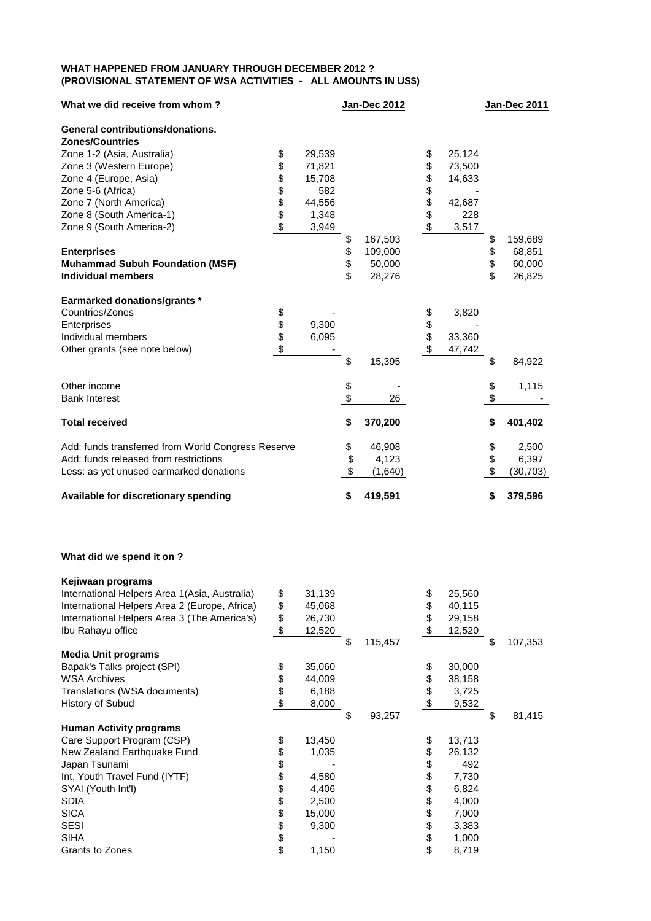## **WHAT HAPPENED FROM JANUARY THROUGH DECEMBER 2012 ? (PROVISIONAL STATEMENT OF WSA ACTIVITIES - ALL AMOUNTS IN US\$)**

| What we did receive from whom?                     |          |        | <b>Jan-Dec 2012</b> |          |        | Jan-Dec 2011    |
|----------------------------------------------------|----------|--------|---------------------|----------|--------|-----------------|
| <b>General contributions/donations.</b>            |          |        |                     |          |        |                 |
| <b>Zones/Countries</b>                             |          |        |                     |          |        |                 |
| Zone 1-2 (Asia, Australia)                         | \$       | 29,539 |                     |          | 25,124 |                 |
| Zone 3 (Western Europe)                            | \$       | 71,821 |                     | \$<br>\$ | 73,500 |                 |
| Zone 4 (Europe, Asia)                              | \$       | 15,708 |                     | \$       | 14,633 |                 |
| Zone 5-6 (Africa)                                  | \$\$\$\$ | 582    |                     | \$\$\$\$ |        |                 |
| Zone 7 (North America)                             |          | 44,556 |                     |          | 42,687 |                 |
| Zone 8 (South America-1)                           |          | 1,348  |                     |          | 228    |                 |
| Zone 9 (South America-2)                           |          | 3,949  |                     |          | 3,517  |                 |
|                                                    |          |        | \$<br>167,503       |          |        | \$<br>159,689   |
| <b>Enterprises</b>                                 |          |        | \$<br>109,000       |          |        | \$<br>68,851    |
| <b>Muhammad Subuh Foundation (MSF)</b>             |          |        | \$<br>50,000        |          |        | \$<br>60,000    |
| <b>Individual members</b>                          |          |        | \$<br>28,276        |          |        | \$<br>26,825    |
| <b>Earmarked donations/grants *</b>                |          |        |                     |          |        |                 |
| Countries/Zones                                    | \$       |        |                     |          | 3,820  |                 |
| Enterprises                                        | \$<br>\$ | 9,300  |                     | \$<br>\$ |        |                 |
| Individual members                                 |          | 6,095  |                     |          | 33,360 |                 |
| Other grants (see note below)                      | \$       |        |                     | \$       | 47,742 |                 |
|                                                    |          |        | \$<br>15,395        |          |        | \$<br>84,922    |
| Other income                                       |          |        |                     |          |        | \$<br>1,115     |
| <b>Bank Interest</b>                               |          |        | \$<br>26            |          |        | \$              |
| <b>Total received</b>                              |          |        | \$<br>370,200       |          |        | \$<br>401,402   |
| Add: funds transferred from World Congress Reserve |          |        | \$<br>46,908        |          |        | \$<br>2,500     |
| Add: funds released from restrictions              |          |        | \$<br>4,123         |          |        | \$<br>6,397     |
| Less: as yet unused earmarked donations            |          |        | \$<br>(1,640)       |          |        | \$<br>(30, 703) |
| Available for discretionary spending               |          |        | \$<br>419,591       |          |        | \$<br>379,596   |

## **What did we spend it on ?**

| \$<br>31,139                                             |               | \$<br>25,560 |               |
|----------------------------------------------------------|---------------|--------------|---------------|
| \$<br>45,068                                             |               | \$<br>40,115 |               |
| 26,730                                                   |               | \$<br>29,158 |               |
| \$<br>12,520                                             |               | \$<br>12,520 |               |
|                                                          | \$<br>115,457 |              | \$<br>107,353 |
|                                                          |               |              |               |
| \$<br>35,060                                             |               | \$<br>30,000 |               |
| 44,009                                                   |               | \$<br>38,158 |               |
| 6,188                                                    |               | \$<br>3,725  |               |
| 8,000                                                    |               | \$<br>9,532  |               |
|                                                          | \$<br>93,257  |              | \$<br>81,415  |
|                                                          |               |              |               |
| \$<br>13,450                                             |               | \$<br>13,713 |               |
| \$<br>1,035                                              |               | \$<br>26,132 |               |
| \$                                                       |               | \$<br>492    |               |
| 4,580                                                    |               | \$<br>7,730  |               |
| 4,406                                                    |               | \$<br>6,824  |               |
| 2,500                                                    |               | \$<br>4,000  |               |
| 15,000                                                   |               | \$<br>7,000  |               |
| 9,300                                                    |               | \$<br>3,383  |               |
|                                                          |               | \$<br>1,000  |               |
| 1,150                                                    |               | \$<br>8,719  |               |
| \$<br>\$<br>\$<br>\$<br>\$<br>\$<br>\$<br>\$<br>\$<br>\$ |               |              |               |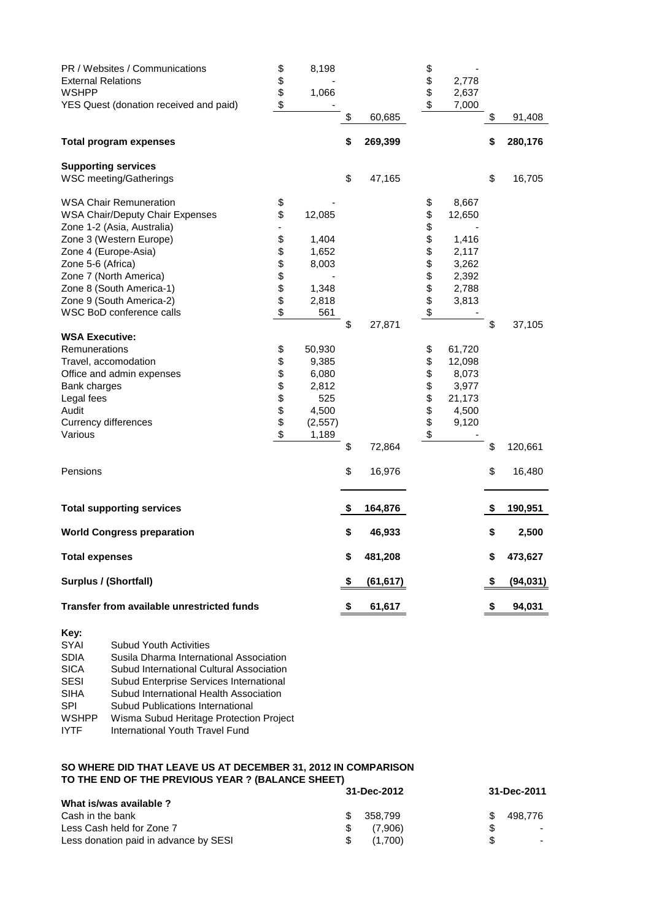| PR / Websites / Communications<br><b>External Relations</b><br><b>WSHPP</b><br>YES Quest (donation received and paid) | \$<br>\$<br>\$<br>\$ | 8,198<br>1,066 |                 | \$<br>\$<br>\$  | 2,778<br>2,637<br>7,000 |                 |
|-----------------------------------------------------------------------------------------------------------------------|----------------------|----------------|-----------------|-----------------|-------------------------|-----------------|
|                                                                                                                       |                      |                | \$<br>60,685    |                 |                         | \$<br>91,408    |
| <b>Total program expenses</b>                                                                                         |                      |                | \$<br>269,399   |                 |                         | \$<br>280,176   |
| <b>Supporting services</b>                                                                                            |                      |                |                 |                 |                         |                 |
| WSC meeting/Gatherings                                                                                                |                      |                | \$<br>47,165    |                 |                         | \$<br>16,705    |
| <b>WSA Chair Remuneration</b>                                                                                         | \$                   |                |                 | \$              | 8,667                   |                 |
| <b>WSA Chair/Deputy Chair Expenses</b>                                                                                | \$                   | 12,085         |                 | <b>88888888</b> | 12,650                  |                 |
| Zone 1-2 (Asia, Australia)                                                                                            |                      |                |                 |                 |                         |                 |
| Zone 3 (Western Europe)                                                                                               | \$                   | 1,404          |                 |                 | 1,416                   |                 |
| Zone 4 (Europe-Asia)                                                                                                  | \$                   | 1,652          |                 |                 | 2,117                   |                 |
| Zone 5-6 (Africa)                                                                                                     | \$\$                 | 8,003          |                 |                 | 3,262                   |                 |
| Zone 7 (North America)                                                                                                |                      |                |                 |                 | 2,392                   |                 |
| Zone 8 (South America-1)                                                                                              |                      | 1,348          |                 |                 | 2,788                   |                 |
| Zone 9 (South America-2)                                                                                              | \$                   | 2,818          |                 |                 | 3,813                   |                 |
| WSC BoD conference calls                                                                                              | \$                   | 561            | \$<br>27,871    |                 |                         | \$              |
| <b>WSA Executive:</b>                                                                                                 |                      |                |                 |                 |                         | 37,105          |
| Remunerations                                                                                                         | \$                   | 50,930         |                 | \$              | 61,720                  |                 |
| Travel, accomodation                                                                                                  | \$                   | 9,385          |                 | \$              | 12,098                  |                 |
| Office and admin expenses                                                                                             |                      | 6,080          |                 |                 | 8,073                   |                 |
| Bank charges                                                                                                          | \$\$\$\$\$           | 2,812          |                 | <b>888888</b>   | 3,977                   |                 |
| Legal fees                                                                                                            |                      | 525            |                 |                 | 21,173                  |                 |
| Audit                                                                                                                 |                      | 4,500          |                 |                 | 4,500                   |                 |
| <b>Currency differences</b>                                                                                           |                      | (2, 557)       |                 |                 | 9,120                   |                 |
| Various                                                                                                               | \$                   | 1,189          |                 |                 |                         |                 |
|                                                                                                                       |                      |                | \$<br>72,864    |                 |                         | \$<br>120,661   |
| Pensions                                                                                                              |                      |                | \$<br>16,976    |                 |                         | \$<br>16,480    |
| <b>Total supporting services</b>                                                                                      |                      |                | \$<br>164,876   |                 |                         | \$<br>190,951   |
| <b>World Congress preparation</b>                                                                                     |                      |                | \$<br>46,933    |                 |                         | \$<br>2,500     |
| <b>Total expenses</b>                                                                                                 |                      |                | \$<br>481,208   |                 |                         | \$<br>473,627   |
| <b>Surplus / (Shortfall)</b>                                                                                          |                      |                | \$<br>(61, 617) |                 |                         | \$<br>(94, 031) |
| Transfer from available unrestricted funds                                                                            |                      |                | \$<br>61,617    |                 |                         | \$<br>94,031    |
| Kev:                                                                                                                  |                      |                |                 |                 |                         |                 |

| $\cdots$     |                                          |
|--------------|------------------------------------------|
| SYAI         | <b>Subud Youth Activities</b>            |
| <b>SDIA</b>  | Susila Dharma International Association  |
| <b>SICA</b>  | Subud International Cultural Association |
| <b>SESI</b>  | Subud Enterprise Services International  |
| <b>SIHA</b>  | Subud International Health Association   |
| <b>SPI</b>   | Subud Publications International         |
| <b>WSHPP</b> | Wisma Subud Heritage Protection Project  |
| <b>IYTF</b>  | International Youth Travel Fund          |
|              |                                          |

## **SO WHERE DID THAT LEAVE US AT DECEMBER 31, 2012 IN COMPARISON TO THE END OF THE PREVIOUS YEAR ? (BALANCE SHEET)**

|                                       | 31-Dec-2012 | 31-Dec-2011 |
|---------------------------------------|-------------|-------------|
| What is/was available?                |             |             |
| Cash in the bank                      | 358.799     | 498.776     |
| Less Cash held for Zone 7             | (7.906)     |             |
| Less donation paid in advance by SESI | (1.700)     |             |